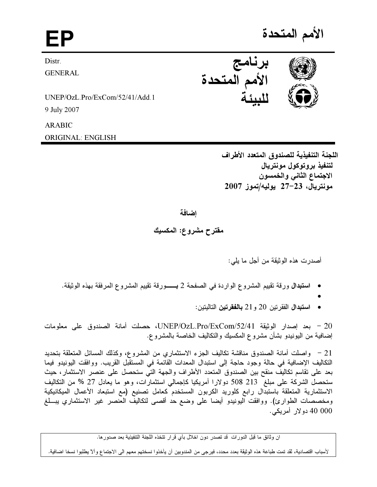EP and the set of the set of the set of the set of the set of the set of the set of the set of the set of the <br>EP and the set of the set of the set of the set of the set of the set of the set of the set of the set of the الأمم المتحدة



**GENERAL** 

UNEP/OzL.Pro/ExCom/52/41/Add.1 9 July 2007

ARABIC

ORIGINAL: ENGLISH

اللجنة التنفيذية للصندوق المتعدد الأطراف لتنفيذ بروتوكول مونتريال الاجتماع الثاني والخمسون مونتريال، 23–27 يوليه/تموز 2007

## اضافة

مقترح مشروع: المكسيك

اصدرت هذه الوثيقة من اجل ما يلي:

- ا<mark>ستبدال</mark> ورقة تقييم المشروع الواردة في الصفحة 2 بــــورقة تقييم المشروع المرفقة بهذه الوثيقة.
	- •

I

● استبدال الفقر تين 20 و 21 **بالفقرتين** التاليتين:

20 - بعد إصدار الوثيقة UNEP/OzL.Pro/ExCom/52/41، حصلت أمانة الصندوق على معلومات إضافية من اليونيدو بشان مشروع المكسيك والتكاليف الخاصة بالمشروع.

21 – واصلت أمانة الصندوق مناقشة تكاليف الجزء الاستثماري من المشروع، وكذلك المسائل المتعلقة بتحديد التكاليف الإضافية في حالة وجود حاجة إلى استبدال المعدات القائمة في المستقبل القريب. ووافقت اليونيدو فيما بعد على تقاسم تكاليف منقح بين الصندوق المتعدد الاطراف والجهة التي ستحصل على عنصر الاستثمار، حيث ستحصل الشركة على مبلغ 213 508 دولارا أمريكيا كاجمالي استثمارًات، وهو ما يعادل 27 % من التكاليف الاستثمارية المتعلقة باستبدال رابع كلوريد الكربون المستخدم كعامل تصنيع (مع استبعاد الاعمال الميكانيكية ومخصصات الطوارئ). ووافقت اليونيدو ايضا على وضع حد اقصىي لتكاليف العنصر غير الاستثماري يبـــلغ 40 000 دولار أمريكي.

ان وثائق ما قبل الدورات ً قد تصدر دون اخلال بأي قرار نتخذه اللجنة التنفيذية بعد صدور ها.

لأسباب اقتصادية، لقد تمت طباعة هذه الوثيقة بعدد محدد، فيرجى من المندوبين أن يأخذوا نسختهم معهم الى الاجتماع وألآ يطلبوا نسخا اضافية.



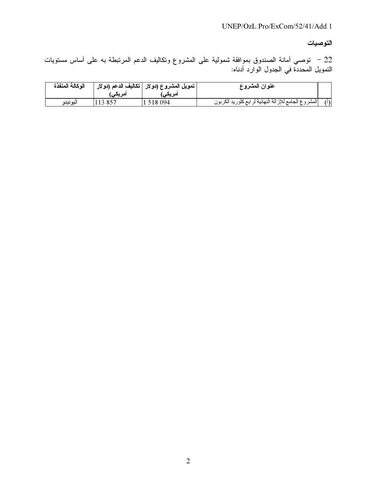التوصيات

22 – توصـي أمانـة الصندوق بموافقة شمولية علـى المشروع وتكاليف الدعم المرتبطـة بـه علـى أساس مستويات<br>التمويل المحددة فـي الـجدول الوارد أدنـاه:

| الوكالة المنفذة | امریکی) | ا تمويل المشروع (دولار   تكاليف الدعم (دولار <sub>ا</sub><br>ا <b>مریکی</b> ، | عنوان المشروع                                         |     |
|-----------------|---------|-------------------------------------------------------------------------------|-------------------------------------------------------|-----|
| اليونيدو        | 113 857 | 518 094                                                                       | المشروع الجامع للإز الة النهائية لرابع كلوريد الكربون | (1) |